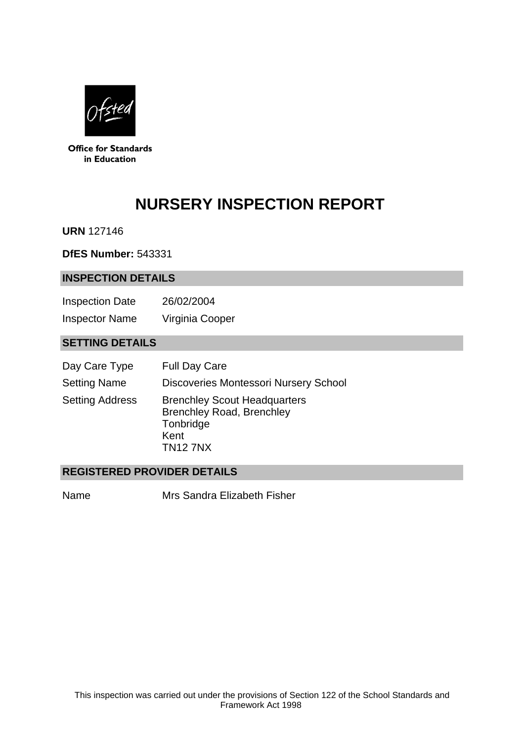

**Office for Standards** in Education

# **NURSERY INSPECTION REPORT**

**URN** 127146

**DfES Number:** 543331

#### **INSPECTION DETAILS**

Inspection Date 26/02/2004 Inspector Name Virginia Cooper

## **SETTING DETAILS**

| Day Care Type          | <b>Full Day Care</b>                                                                                            |
|------------------------|-----------------------------------------------------------------------------------------------------------------|
| <b>Setting Name</b>    | <b>Discoveries Montessori Nursery School</b>                                                                    |
| <b>Setting Address</b> | <b>Brenchley Scout Headquarters</b><br><b>Brenchley Road, Brenchley</b><br>Tonbridge<br>Kent<br><b>TN12 7NX</b> |

## **REGISTERED PROVIDER DETAILS**

Name Mrs Sandra Elizabeth Fisher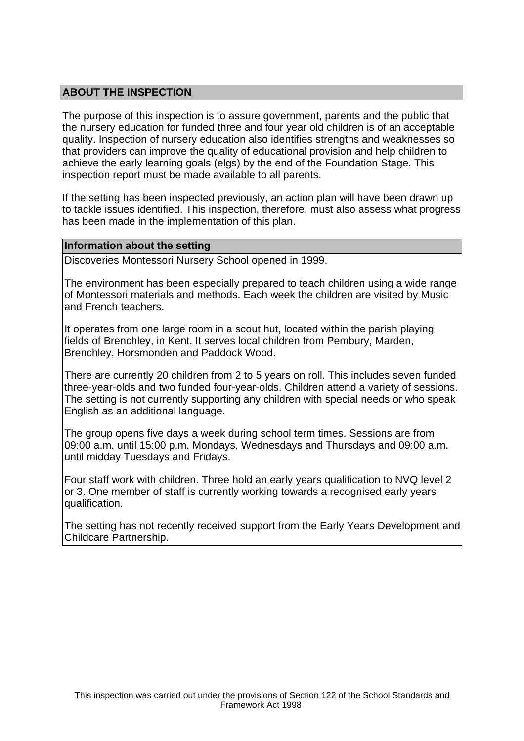## **ABOUT THE INSPECTION**

The purpose of this inspection is to assure government, parents and the public that the nursery education for funded three and four year old children is of an acceptable quality. Inspection of nursery education also identifies strengths and weaknesses so that providers can improve the quality of educational provision and help children to achieve the early learning goals (elgs) by the end of the Foundation Stage. This inspection report must be made available to all parents.

If the setting has been inspected previously, an action plan will have been drawn up to tackle issues identified. This inspection, therefore, must also assess what progress has been made in the implementation of this plan.

#### **Information about the setting**

Discoveries Montessori Nursery School opened in 1999.

The environment has been especially prepared to teach children using a wide range of Montessori materials and methods. Each week the children are visited by Music and French teachers.

It operates from one large room in a scout hut, located within the parish playing fields of Brenchley, in Kent. It serves local children from Pembury, Marden, Brenchley, Horsmonden and Paddock Wood.

There are currently 20 children from 2 to 5 years on roll. This includes seven funded three-year-olds and two funded four-year-olds. Children attend a variety of sessions. The setting is not currently supporting any children with special needs or who speak English as an additional language.

The group opens five days a week during school term times. Sessions are from 09:00 a.m. until 15:00 p.m. Mondays, Wednesdays and Thursdays and 09:00 a.m. until midday Tuesdays and Fridays.

Four staff work with children. Three hold an early years qualification to NVQ level 2 or 3. One member of staff is currently working towards a recognised early years qualification.

The setting has not recently received support from the Early Years Development and Childcare Partnership.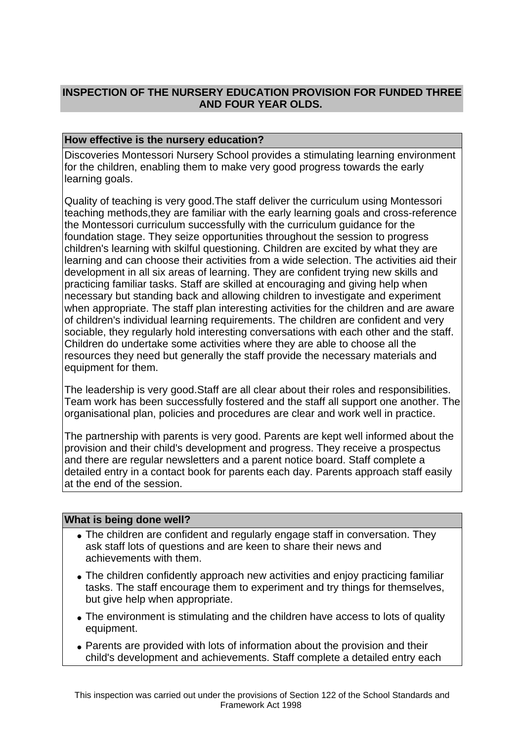## **INSPECTION OF THE NURSERY EDUCATION PROVISION FOR FUNDED THREE AND FOUR YEAR OLDS.**

## **How effective is the nursery education?**

Discoveries Montessori Nursery School provides a stimulating learning environment for the children, enabling them to make very good progress towards the early learning goals.

Quality of teaching is very good.The staff deliver the curriculum using Montessori teaching methods,they are familiar with the early learning goals and cross-reference the Montessori curriculum successfully with the curriculum guidance for the foundation stage. They seize opportunities throughout the session to progress children's learning with skilful questioning. Children are excited by what they are learning and can choose their activities from a wide selection. The activities aid their development in all six areas of learning. They are confident trying new skills and practicing familiar tasks. Staff are skilled at encouraging and giving help when necessary but standing back and allowing children to investigate and experiment when appropriate. The staff plan interesting activities for the children and are aware of children's individual learning requirements. The children are confident and very sociable, they regularly hold interesting conversations with each other and the staff. Children do undertake some activities where they are able to choose all the resources they need but generally the staff provide the necessary materials and equipment for them.

The leadership is very good.Staff are all clear about their roles and responsibilities. Team work has been successfully fostered and the staff all support one another. The organisational plan, policies and procedures are clear and work well in practice.

The partnership with parents is very good. Parents are kept well informed about the provision and their child's development and progress. They receive a prospectus and there are regular newsletters and a parent notice board. Staff complete a detailed entry in a contact book for parents each day. Parents approach staff easily at the end of the session.

### **What is being done well?**

- The children are confident and regularly engage staff in conversation. They ask staff lots of questions and are keen to share their news and achievements with them.
- The children confidently approach new activities and enjoy practicing familiar tasks. The staff encourage them to experiment and try things for themselves, but give help when appropriate.
- The environment is stimulating and the children have access to lots of quality equipment.
- Parents are provided with lots of information about the provision and their child's development and achievements. Staff complete a detailed entry each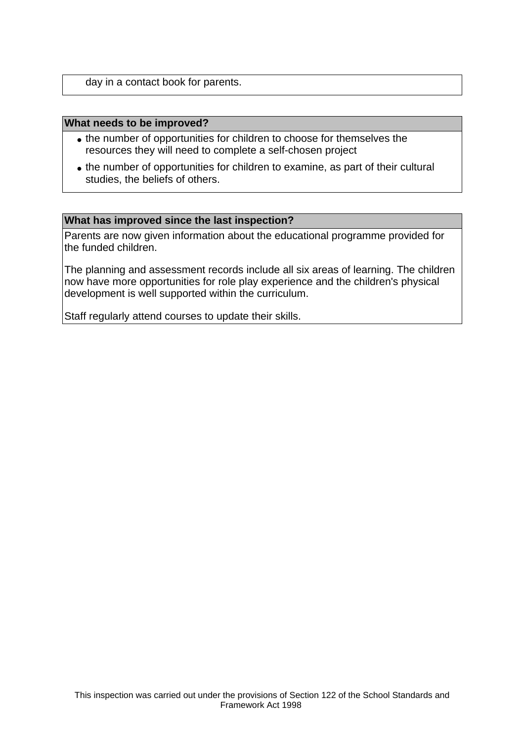day in a contact book for parents.

#### **What needs to be improved?**

- the number of opportunities for children to choose for themselves the resources they will need to complete a self-chosen project
- the number of opportunities for children to examine, as part of their cultural studies, the beliefs of others.

#### **What has improved since the last inspection?**

Parents are now given information about the educational programme provided for the funded children.

The planning and assessment records include all six areas of learning. The children now have more opportunities for role play experience and the children's physical development is well supported within the curriculum.

Staff regularly attend courses to update their skills.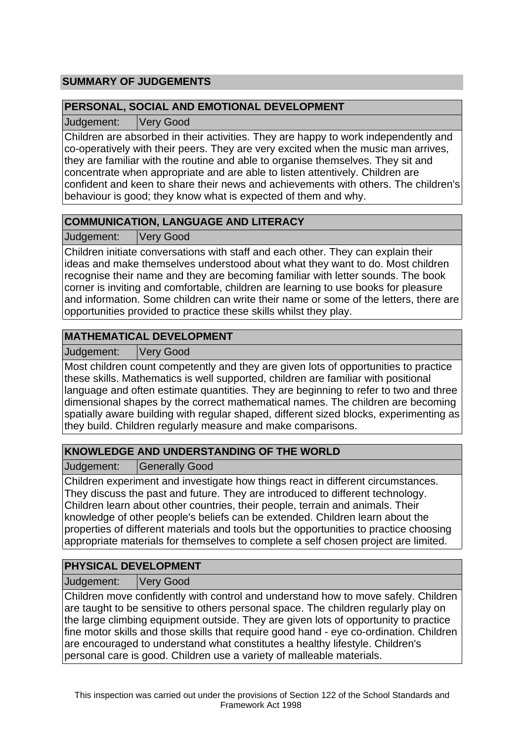# **SUMMARY OF JUDGEMENTS**

## **PERSONAL, SOCIAL AND EMOTIONAL DEVELOPMENT**

Judgement: Very Good

Children are absorbed in their activities. They are happy to work independently and co-operatively with their peers. They are very excited when the music man arrives, they are familiar with the routine and able to organise themselves. They sit and concentrate when appropriate and are able to listen attentively. Children are confident and keen to share their news and achievements with others. The children's behaviour is good; they know what is expected of them and why.

## **COMMUNICATION, LANGUAGE AND LITERACY**

Judgement: Very Good

Children initiate conversations with staff and each other. They can explain their ideas and make themselves understood about what they want to do. Most children recognise their name and they are becoming familiar with letter sounds. The book corner is inviting and comfortable, children are learning to use books for pleasure and information. Some children can write their name or some of the letters, there are opportunities provided to practice these skills whilst they play.

## **MATHEMATICAL DEVELOPMENT**

Judgement: Very Good

Most children count competently and they are given lots of opportunities to practice these skills. Mathematics is well supported, children are familiar with positional language and often estimate quantities. They are beginning to refer to two and three dimensional shapes by the correct mathematical names. The children are becoming spatially aware building with regular shaped, different sized blocks, experimenting as they build. Children regularly measure and make comparisons.

## **KNOWLEDGE AND UNDERSTANDING OF THE WORLD**

Judgement: Generally Good

Children experiment and investigate how things react in different circumstances. They discuss the past and future. They are introduced to different technology. Children learn about other countries, their people, terrain and animals. Their knowledge of other people's beliefs can be extended. Children learn about the properties of different materials and tools but the opportunities to practice choosing appropriate materials for themselves to complete a self chosen project are limited.

## **PHYSICAL DEVELOPMENT**

Judgement: Very Good

Children move confidently with control and understand how to move safely. Children are taught to be sensitive to others personal space. The children regularly play on the large climbing equipment outside. They are given lots of opportunity to practice fine motor skills and those skills that require good hand - eye co-ordination. Children are encouraged to understand what constitutes a healthy lifestyle. Children's personal care is good. Children use a variety of malleable materials.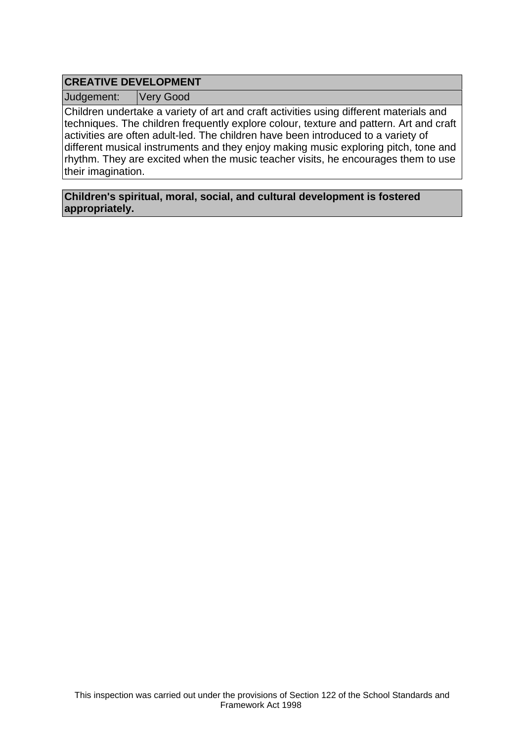## **CREATIVE DEVELOPMENT**

Judgement: Very Good

Children undertake a variety of art and craft activities using different materials and techniques. The children frequently explore colour, texture and pattern. Art and craft activities are often adult-led. The children have been introduced to a variety of different musical instruments and they enjoy making music exploring pitch, tone and rhythm. They are excited when the music teacher visits, he encourages them to use their imagination.

**Children's spiritual, moral, social, and cultural development is fostered appropriately.**